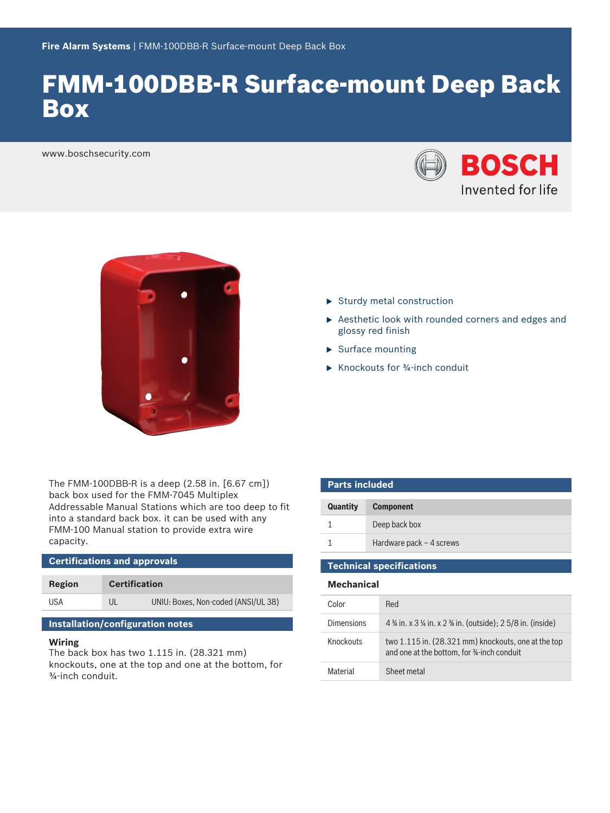# FMM-100DBB-R Surface-mount Deep Back Box

www.boschsecurity.com





The FMM-100DBB-R is a deep (2.58 in. [6.67 cm]) back box used for the FMM-7045 Multiplex Addressable Manual Stations which are too deep to fit into a standard back box. it can be used with any FMM-100 Manual station to provide extra wire capacity.

| <b>Certifications and approvals</b> |                      |                                     |  |  |
|-------------------------------------|----------------------|-------------------------------------|--|--|
| Region                              | <b>Certification</b> |                                     |  |  |
| USA                                 | UL                   | UNIU: Boxes, Non-coded (ANSI/UL 38) |  |  |

## **Installation/configuration notes**

#### **Wiring**

The back box has two 1.115 in. (28.321 mm) knockouts, one at the top and one at the bottom, for ¾‑inch conduit.

- $\blacktriangleright$  Sturdy metal construction
- $\triangleright$  Aesthetic look with rounded corners and edges and glossy red finish
- $\blacktriangleright$  Surface mounting
- $\triangleright$  Knockouts for  $\frac{3}{4}$ -inch conduit

| <b>Parts included</b> |                           |  |
|-----------------------|---------------------------|--|
| <b>Quantity</b>       | <b>Component</b>          |  |
|                       | Deep back box             |  |
|                       | Hardware pack $-4$ screws |  |
|                       |                           |  |

**Technical specifications**

|  |  | <b>Mechanical</b> |
|--|--|-------------------|
|  |  |                   |
|  |  |                   |

| Color             | Red                                                                                               |
|-------------------|---------------------------------------------------------------------------------------------------|
| <b>Dimensions</b> | 4 $\frac{3}{4}$ in. x 3 $\frac{1}{4}$ in. x 2 $\frac{3}{4}$ in. (outside); 2 5/8 in. (inside)     |
| Knockouts         | two 1.115 in. (28.321 mm) knockouts, one at the top<br>and one at the bottom, for 34-inch conduit |
| Material          | Sheet metal                                                                                       |